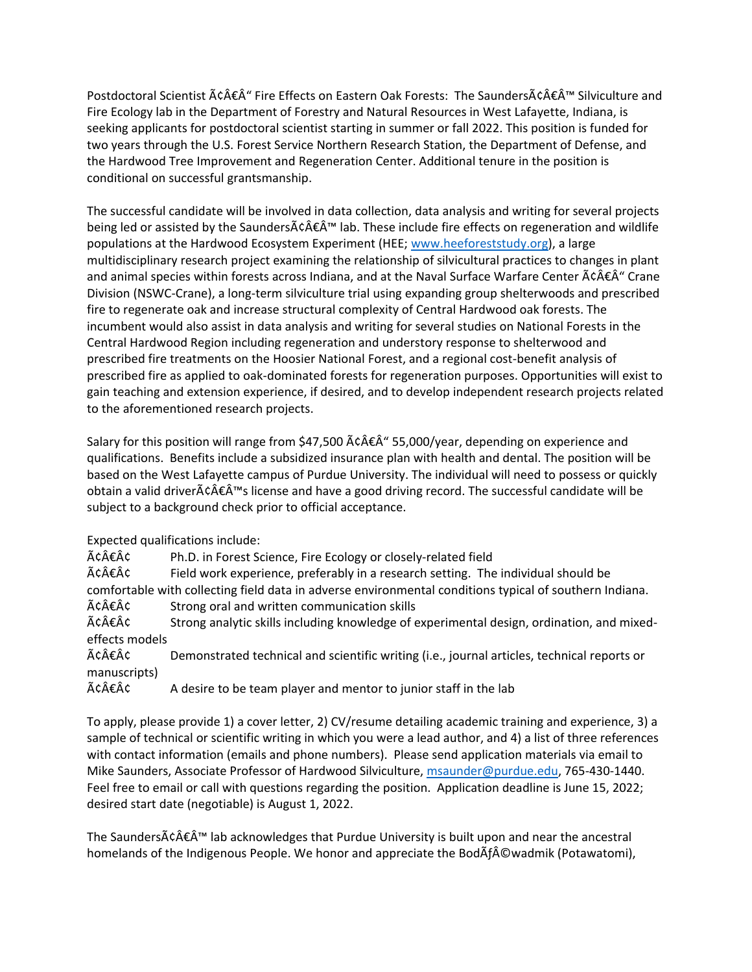Postdoctoral Scientist â€Â" Fire Effects on Eastern Oak Forests: The Saundersâ€Â<sup>™</sup> Silviculture and Fire Ecology lab in the Department of Forestry and Natural Resources in West Lafayette, Indiana, is seeking applicants for postdoctoral scientist starting in summer or fall 2022. This position is funded for two years through the U.S. Forest Service Northern Research Station, the Department of Defense, and the Hardwood Tree Improvement and Regeneration Center. Additional tenure in the position is conditional on successful grantsmanship.

The successful candidate will be involved in data collection, data analysis and writing for several projects being led or assisted by the Saunders $\tilde{A}\in\hat{A}^{\mathsf{TM}}$  lab. These include fire effects on regeneration and wildlife populations at the Hardwood Ecosystem Experiment (HEE; [www.heeforeststudy.org\)](http://www.heeforeststudy.org/), a large multidisciplinary research project examining the relationship of silvicultural practices to changes in plant and animal species within forests across Indiana, and at the Naval Surface Warfare Center  $\tilde{A}\hat{c}\hat{A}\hat{\epsilon}\hat{A}^*$  Crane Division (NSWC-Crane), a long-term silviculture trial using expanding group shelterwoods and prescribed fire to regenerate oak and increase structural complexity of Central Hardwood oak forests. The incumbent would also assist in data analysis and writing for several studies on National Forests in the Central Hardwood Region including regeneration and understory response to shelterwood and prescribed fire treatments on the Hoosier National Forest, and a regional cost-benefit analysis of prescribed fire as applied to oak-dominated forests for regeneration purposes. Opportunities will exist to gain teaching and extension experience, if desired, and to develop independent research projects related to the aforementioned research projects.

Salary for this position will range from \$47,500  $\tilde{A}$   $\epsilon \hat{A}$   $\epsilon$  55,000/year, depending on experience and qualifications. Benefits include a subsidized insurance plan with health and dental. The position will be based on the West Lafayette campus of Purdue University. The individual will need to possess or quickly obtain a valid driverâ€Â™s license and have a good driving record. The successful candidate will be subject to a background check prior to official acceptance.

Expected qualifications include:

 $\tilde{A}$ c $\hat{A}$  $\hat{\epsilon}$  $\hat{A}$ c $\hat{\epsilon}$  Ph.D. in Forest Science, Fire Ecology or closely-related field  $\tilde{A}c\hat{A}\hat{\epsilon}A\hat{C}$  Field work experience, preferably in a research setting. The individual should be comfortable with collecting field data in adverse environmental conditions typical of southern Indiana.  $\tilde{A} \hat{\epsilon} \hat{A} \hat{\epsilon}$  Strong oral and written communication skills

 $\tilde{A}c\hat{A}\hat{\epsilon}A\hat{C}$  Strong analytic skills including knowledge of experimental design, ordination, and mixedeffects models

 $\tilde{A}c\hat{A}\hat{\epsilon}A\hat{C}$  Demonstrated technical and scientific writing (i.e., journal articles, technical reports or manuscripts)

 $\tilde{A}$ c $\hat{A}$  $\hat{\epsilon}$  $\hat{A}$ c $\hat{\epsilon}$  A desire to be team player and mentor to junior staff in the lab

To apply, please provide 1) a cover letter, 2) CV/resume detailing academic training and experience, 3) a sample of technical or scientific writing in which you were a lead author, and 4) a list of three references with contact information (emails and phone numbers). Please send application materials via email to Mike Saunders, Associate Professor of Hardwood Silviculture, [msaunder@purdue.edu,](mailto:msaunder@purdue.edu) 765-430-1440. Feel free to email or call with questions regarding the position. Application deadline is June 15, 2022; desired start date (negotiable) is August 1, 2022.

The Saunders $\tilde{A}\hat{c} \hat{A}\hat{\epsilon} \hat{A}^{\text{TM}}$  lab acknowledges that Purdue University is built upon and near the ancestral homelands of the Indigenous People. We honor and appreciate the BodAf©wadmik (Potawatomi),